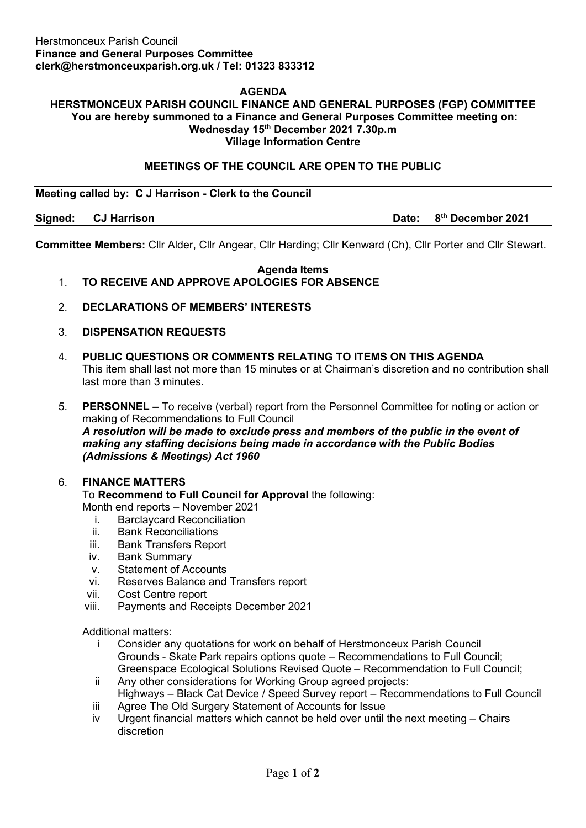## **AGENDA**

#### **HERSTMONCEUX PARISH COUNCIL FINANCE AND GENERAL PURPOSES (FGP) COMMITTEE You are hereby summoned to a Finance and General Purposes Committee meeting on: Wednesday 15th December 2021 7.30p.m Village Information Centre**

## **MEETINGS OF THE COUNCIL ARE OPEN TO THE PUBLIC**

**Meeting called by: C J Harrison - Clerk to the Council** 

**Signed: CJ Harrison Date: 8th December 2021**

**Committee Members:** Cllr Alder, Cllr Angear, Cllr Harding; Cllr Kenward (Ch), Cllr Porter and Cllr Stewart.

#### **Agenda Items** 1. **TO RECEIVE AND APPROVE APOLOGIES FOR ABSENCE**

- 2. **DECLARATIONS OF MEMBERS' INTERESTS**
- 3. **DISPENSATION REQUESTS**
- 4. **PUBLIC QUESTIONS OR COMMENTS RELATING TO ITEMS ON THIS AGENDA** This item shall last not more than 15 minutes or at Chairman's discretion and no contribution shall last more than 3 minutes.

5. **PERSONNEL –** To receive (verbal) report from the Personnel Committee for noting or action or making of Recommendations to Full Council *A resolution will be made to exclude press and members of the public in the event of making any staffing decisions being made in accordance with the Public Bodies (Admissions & Meetings) Act 1960*

#### 6. **FINANCE MATTERS**

To **Recommend to Full Council for Approval** the following:

Month end reports – November 2021

- i. Barclaycard Reconciliation
- ii. Bank Reconciliations
- iii. Bank Transfers Report
- iv. Bank Summary
- v. Statement of Accounts
- vi. Reserves Balance and Transfers report
- vii. Cost Centre report
- viii. Payments and Receipts December 2021

Additional matters:

- i Consider any quotations for work on behalf of Herstmonceux Parish Council Grounds - Skate Park repairs options quote – Recommendations to Full Council; Greenspace Ecological Solutions Revised Quote – Recommendation to Full Council;
- ii Any other considerations for Working Group agreed projects: Highways – Black Cat Device / Speed Survey report – Recommendations to Full Council
- iii Agree The Old Surgery Statement of Accounts for Issue
- iv Urgent financial matters which cannot be held over until the next meeting Chairs discretion